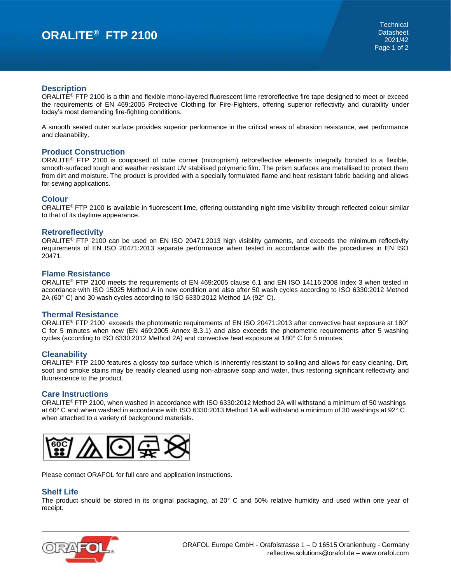# **ORALITE® FTP 2100**

### **Description**

ORALITE<sup>®</sup> FTP 2100 is a thin and flexible mono-layered fluorescent lime retroreflective fire tape designed to meet or exceed the requirements of EN 469:2005 Protective Clothing for Fire-Fighters, offering superior reflectivity and durability under today's most demanding fire-fighting conditions.

A smooth sealed outer surface provides superior performance in the critical areas of abrasion resistance, wet performance and cleanability.

#### **Product Construction**

ORALITE® FTP 2100 is composed of cube corner (microprism) retroreflective elements integrally bonded to a flexible, smooth-surfaced tough and weather resistant UV stabilised polymeric film. The prism surfaces are metallised to protect them from dirt and moisture. The product is provided with a specially formulated flame and heat resistant fabric backing and allows for sewing applications.

## **Colour**

ORALITE® FTP 2100 is available in fluorescent lime, offering outstanding night-time visibility through reflected colour similar to that of its daytime appearance.

#### **Retroreflectivity**

ORALITE® FTP 2100 can be used on EN ISO 20471:2013 high visibility garments, and exceeds the minimum reflectivity requirements of EN ISO 20471:2013 separate performance when tested in accordance with the procedures in EN ISO 20471.

#### **Flame Resistance**

ORALITE® FTP 2100 meets the requirements of EN 469:2005 clause 6.1 and EN ISO 14116:2008 Index 3 when tested in accordance with ISO 15025 Method A in new condition and also after 50 wash cycles according to ISO 6330:2012 Method 2A (60 $^{\circ}$  C) and 30 wash cycles according to ISO 6330:2012 Method 1A (92 $^{\circ}$  C).

#### **Thermal Resistance**

ORALITE® FTP 2100 exceeds the photometric requirements of EN ISO 20471:2013 after convective heat exposure at 180° C for 5 minutes when new (EN 469:2005 Annex B.3.1) and also exceeds the photometric requirements after 5 washing cycles (according to ISO 6330:2012 Method 2A) and convective heat exposure at 180° C for 5 minutes.

#### **Cleanability**

ORALITE<sup>®</sup> FTP 2100 features a glossy top surface which is inherently resistant to soiling and allows for easy cleaning. Dirt, soot and smoke stains may be readily cleaned using non-abrasive soap and water, thus restoring significant reflectivity and fluorescence to the product.

#### **Care Instructions**

ORALITE® FTP 2100, when washed in accordance with ISO 6330:2012 Method 2A will withstand a minimum of 50 washings at 60° C and when washed in accordance with ISO 6330:2013 Method 1A will withstand a minimum of 30 washings at 92° C when attached to a variety of background materials.



Please contact ORAFOL for full care and application instructions.

#### **Shelf Life**

The product should be stored in its original packaging, at 20° C and 50% relative humidity and used within one year of receipt.